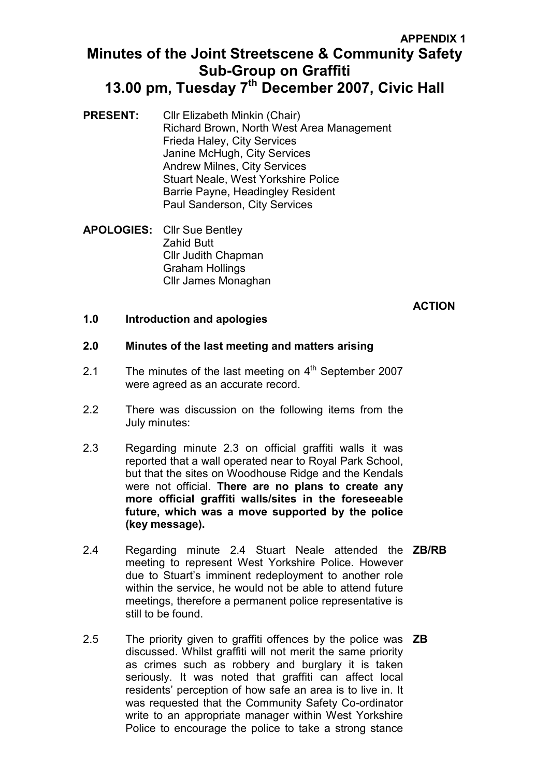### APPENDIX 1

# Minutes of the Joint Streetscene & Community Safety Sub-Group on Graffiti 13.00 pm, Tuesday 7<sup>th</sup> December 2007, Civic Hall

- PRESENT: Cllr Elizabeth Minkin (Chair) Richard Brown, North West Area Management Frieda Haley, City Services Janine McHugh, City Services Andrew Milnes, City Services Stuart Neale, West Yorkshire Police Barrie Payne, Headingley Resident Paul Sanderson, City Services
- APOLOGIES: Cllr Sue Bentley Zahid Butt Cllr Judith Chapman Graham Hollings Cllr James Monaghan

## **ACTION**

### 1.0 Introduction and apologies

#### 2.0 Minutes of the last meeting and matters arising

- 2.1 The minutes of the last meeting on  $4<sup>th</sup>$  September 2007 were agreed as an accurate record.
- 2.2 There was discussion on the following items from the July minutes:
- 2.3 Regarding minute 2.3 on official graffiti walls it was reported that a wall operated near to Royal Park School, but that the sites on Woodhouse Ridge and the Kendals were not official. There are no plans to create any more official graffiti walls/sites in the foreseeable future, which was a move supported by the police (key message).
- 2.4 Regarding minute 2.4 Stuart Neale attended the **ZB/RB** meeting to represent West Yorkshire Police. However due to Stuart's imminent redeployment to another role within the service, he would not be able to attend future meetings, therefore a permanent police representative is still to be found.
- 2.5 The priority given to graffiti offences by the police was **ZB** discussed. Whilst graffiti will not merit the same priority as crimes such as robbery and burglary it is taken seriously. It was noted that graffiti can affect local residents' perception of how safe an area is to live in. It was requested that the Community Safety Co-ordinator write to an appropriate manager within West Yorkshire Police to encourage the police to take a strong stance